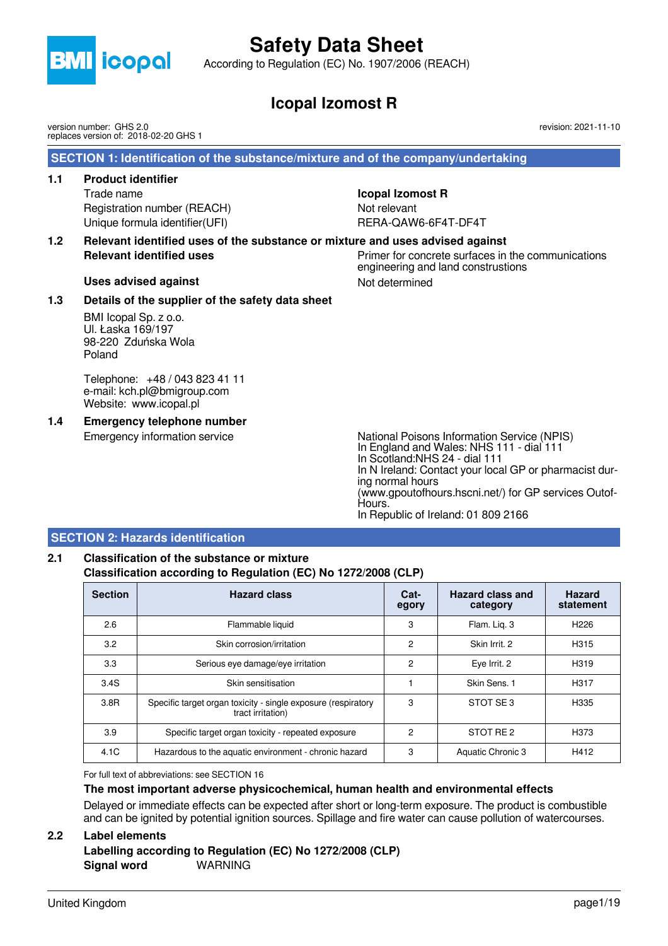

According to Regulation (EC) No. 1907/2006 (REACH)

# **Icopal Izomost R**

version number: GHS 2.0 replaces version of: 2018-02-20 GHS 1

 **SECTION 1: Identification of the substance/mixture and of the company/undertaking**

### **1.1 Product identifier**

Trade name **Icopal Izomost R** Registration number (REACH) Not relevant Unique formula identifier(UFI) RERA-QAW6-6F4T-DF4T

**1.2 Relevant identified uses of the substance or mixture and uses advised against Relevant identified uses** extended in the primer for concrete surfaces in the communications

engineering and land construstions

Uses advised against **Not determined** Not determined

### **1.3 Details of the supplier of the safety data sheet**

BMI Icopal Sp. z o.o. Ul. Łaska 169/197 98-220 Zduńska Wola Poland

Telephone: +48 / 043 823 41 11 e-mail: kch.pl@bmigroup.com Website: www.icopal.pl

**1.4 Emergency telephone number**

Emergency information service National Poisons Information Service (NPIS) In England and Wales: NHS 111 - dial 111 In Scotland:NHS 24 - dial 111 In N Ireland: Contact your local GP or pharmacist during normal hours (www.gpoutofhours.hscni.net/) for GP services Outof-Hours. In Republic of Ireland: 01 809 2166

### **SECTION 2: Hazards identification**

## **2.1 Classification of the substance or mixture Classification according to Regulation (EC) No 1272/2008 (CLP)**

| <b>Section</b> | <b>Hazard class</b>                                                                | Cat-<br>egory | Hazard class and<br>category | <b>Hazard</b><br>statement |
|----------------|------------------------------------------------------------------------------------|---------------|------------------------------|----------------------------|
| 2.6            | Flammable liquid                                                                   | 3             | Flam. Lig. 3                 | H <sub>226</sub>           |
| 3.2            | Skin corrosion/irritation                                                          | 2             | Skin Irrit. 2                | H <sub>3</sub> 15          |
| 3.3            | Serious eye damage/eye irritation                                                  | 2             | Eye Irrit. 2                 | H319                       |
| 3.4S           | Skin sensitisation                                                                 |               | Skin Sens. 1                 | H317                       |
| 3.8R           | Specific target organ toxicity - single exposure (respiratory<br>tract irritation) | 3             | STOT SE3                     | H335                       |
| 3.9            | Specific target organ toxicity - repeated exposure                                 | 2             | STOT RE2                     | H373                       |
| 4.1C           | Hazardous to the aquatic environment - chronic hazard                              | 3             | Aquatic Chronic 3            | H412                       |

For full text of abbreviations: see SECTION 16

#### **The most important adverse physicochemical, human health and environmental effects**

Delayed or immediate effects can be expected after short or long-term exposure. The product is combustible and can be ignited by potential ignition sources. Spillage and fire water can cause pollution of watercourses.

#### **2.2 Label elements**

**Labelling according to Regulation (EC) No 1272/2008 (CLP) Signal word** WARNING

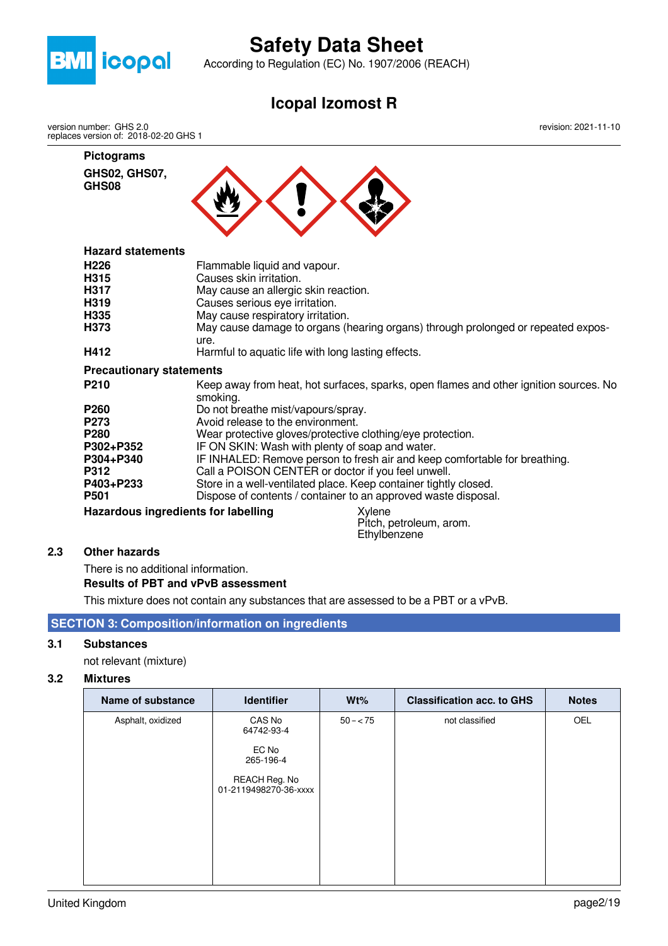

According to Regulation (EC) No. 1907/2006 (REACH)

## **Icopal Izomost R**

version number: GHS 2.0 replaces version of: 2018-02-20 GHS 1

> **Pictograms GHS02, GHS07,**

**GHS08**

revision: 2021-11-10



## **Hazard statements**

| H226<br>H315<br>H317<br>H319<br>H335       | Flammable liquid and vapour.<br>Causes skin irritation.<br>May cause an allergic skin reaction.<br>Causes serious eye irritation.<br>May cause respiratory irritation. |
|--------------------------------------------|------------------------------------------------------------------------------------------------------------------------------------------------------------------------|
| H373                                       | May cause damage to organs (hearing organs) through prolonged or repeated expos-<br>ure.                                                                               |
| H412                                       | Harmful to aquatic life with long lasting effects.                                                                                                                     |
| <b>Precautionary statements</b>            |                                                                                                                                                                        |
| P210                                       | Keep away from heat, hot surfaces, sparks, open flames and other ignition sources. No<br>smoking.                                                                      |
| P260                                       | Do not breathe mist/vapours/spray.                                                                                                                                     |
| P273                                       | Avoid release to the environment.                                                                                                                                      |
| P280                                       | Wear protective gloves/protective clothing/eye protection.                                                                                                             |
| P302+P352                                  | IF ON SKIN: Wash with plenty of soap and water.                                                                                                                        |
| P304+P340                                  | IF INHALED: Remove person to fresh air and keep comfortable for breathing.                                                                                             |
| P312                                       | Call a POISON CENTER or doctor if you feel unwell.                                                                                                                     |
| P403+P233                                  | Store in a well-ventilated place. Keep container tightly closed.                                                                                                       |
| P501                                       | Dispose of contents / container to an approved waste disposal.                                                                                                         |
| <b>Hazardous ingredients for labelling</b> | Xylene<br>Pitch, petroleum, arom.                                                                                                                                      |

**Ethylbenzene** 

#### **2.3 Other hazards**

There is no additional information.

#### **Results of PBT and vPvB assessment**

This mixture does not contain any substances that are assessed to be a PBT or a vPvB.

## **SECTION 3: Composition/information on ingredients**

### **3.1 Substances**

not relevant (mixture)

#### **3.2 Mixtures**

| <b>Name of substance</b> | <b>Identifier</b>                                                                    | Wt%       | <b>Classification acc. to GHS</b> | <b>Notes</b> |
|--------------------------|--------------------------------------------------------------------------------------|-----------|-----------------------------------|--------------|
| Asphalt, oxidized        | CAS No<br>64742-93-4<br>EC No<br>265-196-4<br>REACH Reg. No<br>01-2119498270-36-xxxx | $50 - 75$ | not classified                    | <b>OEL</b>   |
|                          |                                                                                      |           |                                   |              |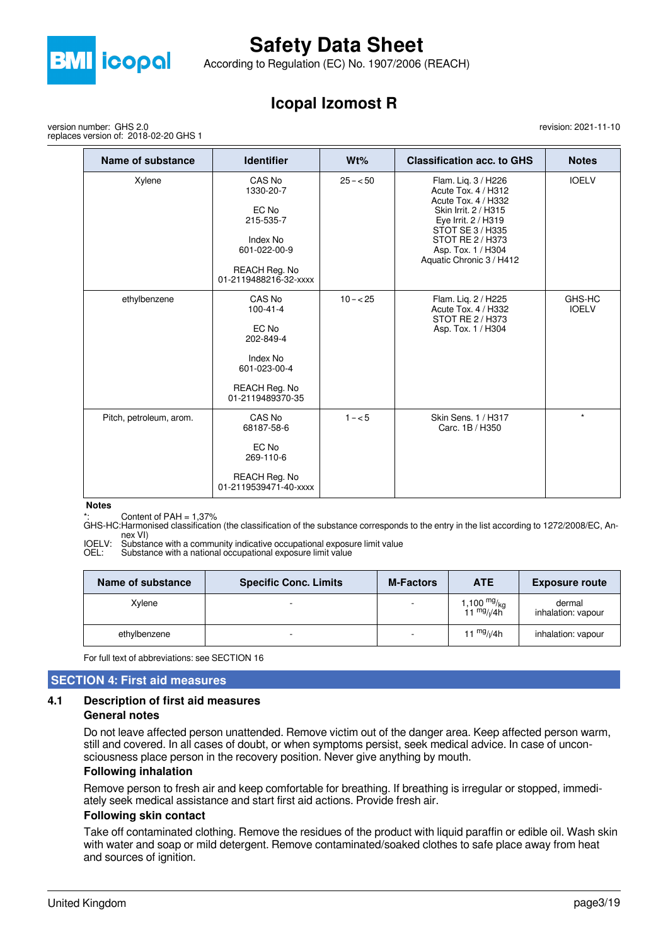

According to Regulation (EC) No. 1907/2006 (REACH)

## **Icopal Izomost R**

version number: GHS 2.0 replaces version of: 2018-02-20 GHS 1

| Name of substance       | <b>Identifier</b>                                                                                               | Wt%       | <b>Classification acc. to GHS</b>                                                                                                                                                                          | <b>Notes</b>           |
|-------------------------|-----------------------------------------------------------------------------------------------------------------|-----------|------------------------------------------------------------------------------------------------------------------------------------------------------------------------------------------------------------|------------------------|
| Xylene                  | CAS No<br>1330-20-7<br>EC No<br>215-535-7<br>Index No<br>601-022-00-9<br>REACH Reg. No<br>01-2119488216-32-xxxx | $25 - 50$ | Flam. Lig. 3 / H226<br>Acute Tox. 4 / H312<br>Acute Tox. 4 / H332<br>Skin Irrit. 2 / H315<br>Eye Irrit. 2 / H319<br>STOT SE 3 / H335<br>STOT RE 2 / H373<br>Asp. Tox. 1 / H304<br>Aquatic Chronic 3 / H412 | <b>IOELV</b>           |
| ethylbenzene            | CAS No<br>$100 - 41 - 4$<br>EC No<br>202-849-4<br>Index No<br>601-023-00-4<br>REACH Reg. No<br>01-2119489370-35 | $10 - 25$ | Flam. Lig. 2 / H225<br>Acute Tox, 4 / H332<br>STOT RE 2 / H373<br>Asp. Tox. 1 / H304                                                                                                                       | GHS-HC<br><b>IOELV</b> |
| Pitch, petroleum, arom. | CAS No<br>68187-58-6<br>EC No<br>269-110-6<br>REACH Reg. No<br>01-2119539471-40-xxxx                            | $1 - 5$   | Skin Sens. 1 / H317<br>Carc. 1B / H350                                                                                                                                                                     | $\star$                |

#### **Notes**

Content of PAH  $= 1,37%$ 

GHS-HC:Harmonised classification (the classification of the substance corresponds to the entry in the list according to 1272/2008/EC, Annex VI)

IOELV: Substance with a community indicative occupational exposure limit value

OEL: Substance with a national occupational exposure limit value

| Name of substance | <b>Specific Conc. Limits</b> | <b>M-Factors</b> | <b>ATE</b>                                                                 | <b>Exposure route</b>        |
|-------------------|------------------------------|------------------|----------------------------------------------------------------------------|------------------------------|
| Xvlene            |                              |                  | 1,100 <sup>mg</sup> / <sub>kg</sub><br>11 <sup>mg</sup> / <sub>l</sub> /4h | dermal<br>inhalation: vapour |
| ethylbenzene      |                              | $\sim$           | 11 $mg/(4h)$                                                               | inhalation: vapour           |

For full text of abbreviations: see SECTION 16

#### **SECTION 4: First aid measures**

# **4.1 Description of first aid measures**

**General notes**

Do not leave affected person unattended. Remove victim out of the danger area. Keep affected person warm, still and covered. In all cases of doubt, or when symptoms persist, seek medical advice. In case of unconsciousness place person in the recovery position. Never give anything by mouth.

#### **Following inhalation**

Remove person to fresh air and keep comfortable for breathing. If breathing is irregular or stopped, immediately seek medical assistance and start first aid actions. Provide fresh air.

#### **Following skin contact**

Take off contaminated clothing. Remove the residues of the product with liquid paraffin or edible oil. Wash skin with water and soap or mild detergent. Remove contaminated/soaked clothes to safe place away from heat and sources of ignition.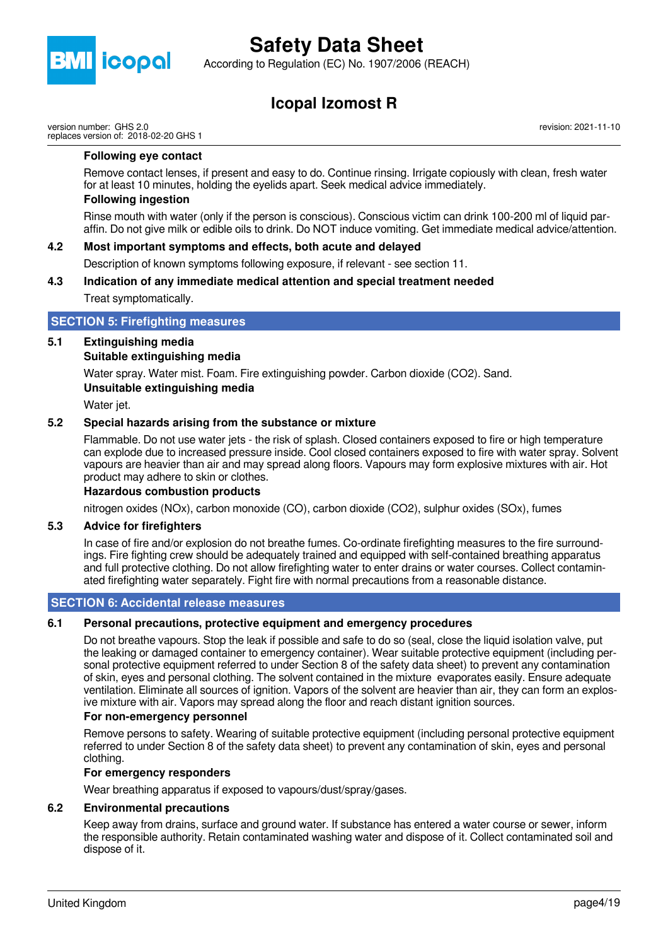

According to Regulation (EC) No. 1907/2006 (REACH)

## **Icopal Izomost R**

version number: GHS 2.0 replaces version of: 2018-02-20 GHS 1 revision: 2021-11-10

#### **Following eye contact**

Remove contact lenses, if present and easy to do. Continue rinsing. Irrigate copiously with clean, fresh water for at least 10 minutes, holding the eyelids apart. Seek medical advice immediately.

#### **Following ingestion**

Rinse mouth with water (only if the person is conscious). Conscious victim can drink 100-200 ml of liquid paraffin. Do not give milk or edible oils to drink. Do NOT induce vomiting. Get immediate medical advice/attention.

#### **4.2 Most important symptoms and effects, both acute and delayed**

Description of known symptoms following exposure, if relevant - see section 11.

### **4.3 Indication of any immediate medical attention and special treatment needed** Treat symptomatically.

#### **SECTION 5: Firefighting measures**

### **5.1 Extinguishing media**

#### **Suitable extinguishing media**

Water spray. Water mist. Foam. Fire extinguishing powder. Carbon dioxide (CO2). Sand.

#### **Unsuitable extinguishing media**

Water jet.

### **5.2 Special hazards arising from the substance or mixture**

Flammable. Do not use water jets - the risk of splash. Closed containers exposed to fire or high temperature can explode due to increased pressure inside. Cool closed containers exposed to fire with water spray. Solvent vapours are heavier than air and may spread along floors. Vapours may form explosive mixtures with air. Hot product may adhere to skin or clothes.

#### **Hazardous combustion products**

nitrogen oxides (NOx), carbon monoxide (CO), carbon dioxide (CO2), sulphur oxides (SOx), fumes

#### **5.3 Advice for firefighters**

In case of fire and/or explosion do not breathe fumes. Co-ordinate firefighting measures to the fire surroundings. Fire fighting crew should be adequately trained and equipped with self-contained breathing apparatus and full protective clothing. Do not allow firefighting water to enter drains or water courses. Collect contaminated firefighting water separately. Fight fire with normal precautions from a reasonable distance.

#### **SECTION 6: Accidental release measures**

#### **6.1 Personal precautions, protective equipment and emergency procedures**

Do not breathe vapours. Stop the leak if possible and safe to do so (seal, close the liquid isolation valve, put the leaking or damaged container to emergency container). Wear suitable protective equipment (including personal protective equipment referred to under Section 8 of the safety data sheet) to prevent any contamination of skin, eyes and personal clothing. The solvent contained in the mixture evaporates easily. Ensure adequate ventilation. Eliminate all sources of ignition. Vapors of the solvent are heavier than air, they can form an explosive mixture with air. Vapors may spread along the floor and reach distant ignition sources.

#### **For non-emergency personnel**

Remove persons to safety. Wearing of suitable protective equipment (including personal protective equipment referred to under Section 8 of the safety data sheet) to prevent any contamination of skin, eyes and personal clothing.

#### **For emergency responders**

Wear breathing apparatus if exposed to vapours/dust/spray/gases.

#### **6.2 Environmental precautions**

Keep away from drains, surface and ground water. If substance has entered a water course or sewer, inform the responsible authority. Retain contaminated washing water and dispose of it. Collect contaminated soil and dispose of it.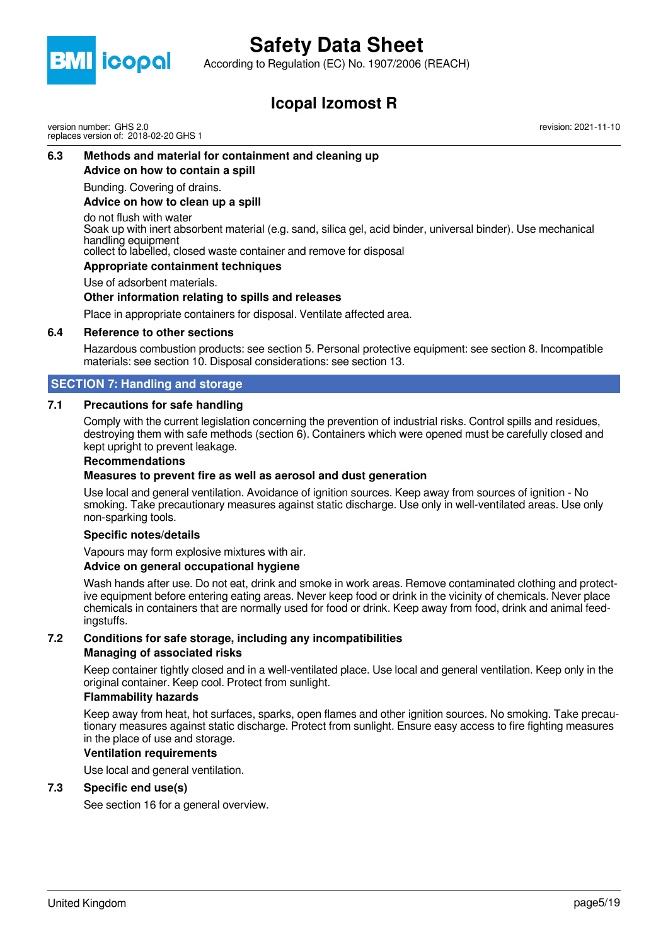

According to Regulation (EC) No. 1907/2006 (REACH)

## **Icopal Izomost R**

version number: GHS 2.0 replaces version of: 2018-02-20 GHS 1 revision: 2021-11-10

## **6.3 Methods and material for containment and cleaning up**

**Advice on how to contain a spill**

Bunding. Covering of drains.

#### **Advice on how to clean up a spill**

do not flush with water

Soak up with inert absorbent material (e.g. sand, silica gel, acid binder, universal binder). Use mechanical handling equipment

collect to labelled, closed waste container and remove for disposal

#### **Appropriate containment techniques**

Use of adsorbent materials.

#### **Other information relating to spills and releases**

Place in appropriate containers for disposal. Ventilate affected area.

#### **6.4 Reference to other sections**

Hazardous combustion products: see section 5. Personal protective equipment: see section 8. Incompatible materials: see section 10. Disposal considerations: see section 13.

#### **SECTION 7: Handling and storage**

#### **7.1 Precautions for safe handling**

Comply with the current legislation concerning the prevention of industrial risks. Control spills and residues, destroying them with safe methods (section 6). Containers which were opened must be carefully closed and kept upright to prevent leakage.

#### **Recommendations**

#### **Measures to prevent fire as well as aerosol and dust generation**

Use local and general ventilation. Avoidance of ignition sources. Keep away from sources of ignition - No smoking. Take precautionary measures against static discharge. Use only in well-ventilated areas. Use only non-sparking tools.

#### **Specific notes/details**

Vapours may form explosive mixtures with air.

#### **Advice on general occupational hygiene**

Wash hands after use. Do not eat, drink and smoke in work areas. Remove contaminated clothing and protective equipment before entering eating areas. Never keep food or drink in the vicinity of chemicals. Never place chemicals in containers that are normally used for food or drink. Keep away from food, drink and animal feedingstuffs.

#### **7.2 Conditions for safe storage, including any incompatibilities Managing of associated risks**

Keep container tightly closed and in a well-ventilated place. Use local and general ventilation. Keep only in the original container. Keep cool. Protect from sunlight.

#### **Flammability hazards**

Keep away from heat, hot surfaces, sparks, open flames and other ignition sources. No smoking. Take precautionary measures against static discharge. Protect from sunlight. Ensure easy access to fire fighting measures in the place of use and storage.

#### **Ventilation requirements**

Use local and general ventilation.

#### **7.3 Specific end use(s)**

See section 16 for a general overview.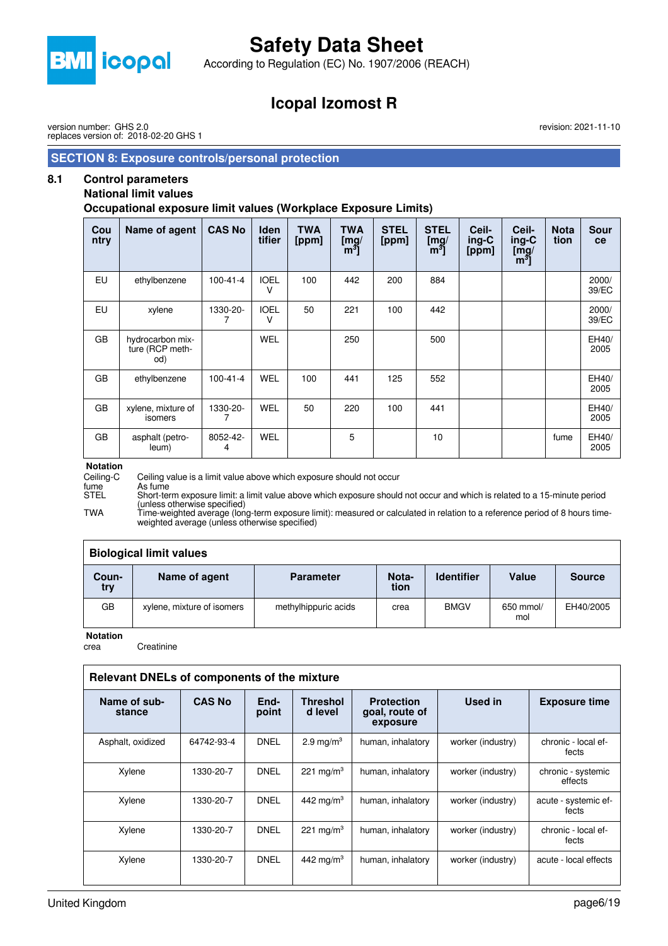

According to Regulation (EC) No. 1907/2006 (REACH)

## **Icopal Izomost R**

version number: GHS 2.0 replaces version of: 2018-02-20 GHS 1

#### **SECTION 8: Exposure controls/personal protection**

### **8.1 Control parameters**

### **National limit values**

**Occupational exposure limit values (Workplace Exposure Limits)**

| Cou<br>ntry | Name of agent                              | <b>CAS No</b>  | <b>Iden</b><br>tifier | <b>TWA</b><br>[ppm] | TWA<br>[mg]<br>m <sup>3</sup> | <b>STEL</b><br>[ppm] | <b>STEL</b><br>[mg]<br>m <sup>3</sup> | Ceil-<br>$ing-C$<br>[ppm] | Ceil-<br>ing-C<br>$\overline{\text{Im}}\text{g}/$<br>$[m^3]$ | <b>Nota</b><br>tion | <b>Sour</b><br>ce |
|-------------|--------------------------------------------|----------------|-----------------------|---------------------|-------------------------------|----------------------|---------------------------------------|---------------------------|--------------------------------------------------------------|---------------------|-------------------|
| EU          | ethylbenzene                               | $100 - 41 - 4$ | <b>IOEL</b><br>v      | 100                 | 442                           | 200                  | 884                                   |                           |                                                              |                     | 2000/<br>39/EC    |
| EU          | xylene                                     | 1330-20-       | <b>IOEL</b><br>v      | 50                  | 221                           | 100                  | 442                                   |                           |                                                              |                     | 2000/<br>39/EC    |
| GB          | hydrocarbon mix-<br>ture (RCP meth-<br>od) |                | <b>WEL</b>            |                     | 250                           |                      | 500                                   |                           |                                                              |                     | EH40/<br>2005     |
| GB          | ethylbenzene                               | $100 - 41 - 4$ | <b>WEL</b>            | 100                 | 441                           | 125                  | 552                                   |                           |                                                              |                     | EH40/<br>2005     |
| GB          | xylene, mixture of<br>isomers              | 1330-20-       | <b>WEL</b>            | 50                  | 220                           | 100                  | 441                                   |                           |                                                              |                     | EH40/<br>2005     |
| GB          | asphalt (petro-<br>leum)                   | 8052-42-<br>4  | <b>WEL</b>            |                     | 5                             |                      | 10                                    |                           |                                                              | fume                | EH40/<br>2005     |

# **Notation**<br>Ceiling-C

Ceiling-C Ceiling value is a limit value above which exposure should not occur

fume As fume<br>STEL Short-ter Short-term exposure limit: a limit value above which exposure should not occur and which is related to a 15-minute period (unless otherwise specified)

TWA Time-weighted average (long-term exposure limit): measured or calculated in relation to a reference period of 8 hours timeweighted average (unless otherwise specified)

| <b>Biological limit values</b> |                            |                      |               |                   |                  |               |  |
|--------------------------------|----------------------------|----------------------|---------------|-------------------|------------------|---------------|--|
| Coun-<br>try                   | Name of agent              | <b>Parameter</b>     | Nota-<br>tion | <b>Identifier</b> | Value            | <b>Source</b> |  |
| GB                             | xylene, mixture of isomers | methylhippuric acids | crea          | <b>BMGV</b>       | 650 mmol/<br>mol | EH40/2005     |  |

**Notation**

crea Creatinine

| Relevant DNELs of components of the mixture |               |               |                            |                                                 |                   |                               |  |  |
|---------------------------------------------|---------------|---------------|----------------------------|-------------------------------------------------|-------------------|-------------------------------|--|--|
| Name of sub-<br>stance                      | <b>CAS No</b> | End-<br>point | <b>Threshol</b><br>d level | <b>Protection</b><br>goal, route of<br>exposure | <b>Used in</b>    | <b>Exposure time</b>          |  |  |
| Asphalt, oxidized                           | 64742-93-4    | <b>DNEL</b>   | 2.9 mg/m <sup>3</sup>      | human, inhalatory                               | worker (industry) | chronic - local ef-<br>fects  |  |  |
| Xylene                                      | 1330-20-7     | <b>DNEL</b>   | 221 mg/m <sup>3</sup>      | human, inhalatory                               | worker (industry) | chronic - systemic<br>effects |  |  |
| Xylene                                      | 1330-20-7     | <b>DNEL</b>   | 442 mg/m <sup>3</sup>      | human, inhalatory                               | worker (industry) | acute - systemic ef-<br>fects |  |  |
| Xylene                                      | 1330-20-7     | <b>DNEL</b>   | 221 mg/m <sup>3</sup>      | human, inhalatory                               | worker (industry) | chronic - local ef-<br>fects  |  |  |
| Xylene                                      | 1330-20-7     | <b>DNEL</b>   | 442 mg/m <sup>3</sup>      | human, inhalatory                               | worker (industry) | acute - local effects         |  |  |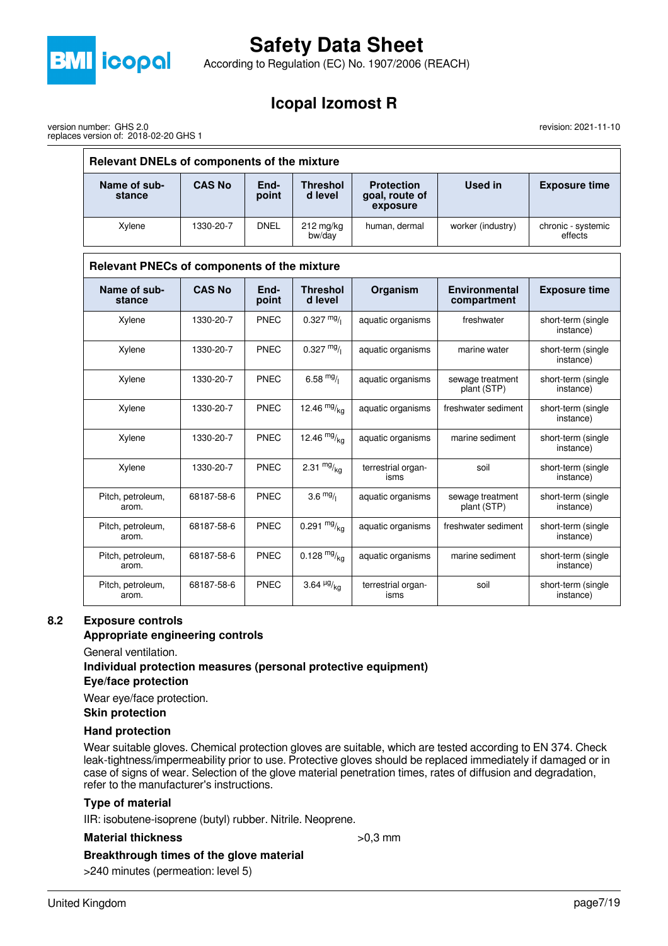

version number: GHS 2.0

replaces version of: 2018-02-20 GHS 1

# **Safety Data Sheet**

According to Regulation (EC) No. 1907/2006 (REACH)

## **Icopal Izomost R**

revision: 2021-11-10

| Relevant DNELs of components of the mixture |               |               |                               |                                                 |                                     |                                 |  |
|---------------------------------------------|---------------|---------------|-------------------------------|-------------------------------------------------|-------------------------------------|---------------------------------|--|
| Name of sub-<br>stance                      | <b>CAS No</b> | End-<br>point | <b>Threshol</b><br>d level    | <b>Protection</b><br>goal, route of<br>exposure | <b>Used in</b>                      | <b>Exposure time</b>            |  |
| Xylene                                      | 1330-20-7     | <b>DNEL</b>   | $212$ mg/kg<br>bw/day         | human, dermal                                   | worker (industry)                   | chronic - systemic<br>effects   |  |
| Relevant PNECs of components of the mixture |               |               |                               |                                                 |                                     |                                 |  |
| Name of sub-<br>stance                      | <b>CAS No</b> | End-<br>point | <b>Threshol</b><br>d level    | Organism                                        | <b>Environmental</b><br>compartment | <b>Exposure time</b>            |  |
| Xylene                                      | 1330-20-7     | <b>PNEC</b>   | $0.327 \frac{mg}{l}$          | aquatic organisms                               | freshwater                          | short-term (single<br>instance) |  |
| Xylene                                      | 1330-20-7     | <b>PNEC</b>   | $0.327 \frac{mg}{l}$          | aquatic organisms                               | marine water                        | short-term (single<br>instance) |  |
| Xylene                                      | 1330-20-7     | <b>PNEC</b>   | $6.58 \frac{mg}{l}$           | aquatic organisms                               | sewage treatment<br>plant (STP)     | short-term (single<br>instance) |  |
| Xylene                                      | 1330-20-7     | <b>PNEC</b>   | 12.46 $mg/ka$                 | aquatic organisms                               | freshwater sediment                 | short-term (single<br>instance) |  |
| Xylene                                      | 1330-20-7     | <b>PNEC</b>   | 12.46 $mg/kq$                 | aquatic organisms                               | marine sediment                     | short-term (single<br>instance) |  |
| Xylene                                      | 1330-20-7     | <b>PNEC</b>   | 2.31 $mg/kq$                  | terrestrial organ-<br>isms                      | soil                                | short-term (single<br>instance) |  |
| Pitch, petroleum,<br>arom.                  | 68187-58-6    | <b>PNEC</b>   | 3.6 $mg/1$                    | aquatic organisms                               | sewage treatment<br>plant (STP)     | short-term (single<br>instance) |  |
| Pitch, petroleum,<br>arom.                  | 68187-58-6    | <b>PNEC</b>   | 0.291 $mg/kq$                 | aquatic organisms                               | freshwater sediment                 | short-term (single<br>instance) |  |
| Pitch, petroleum,<br>arom.                  | 68187-58-6    | <b>PNEC</b>   | $0.128 \frac{mg}{ka}$         | aquatic organisms                               | marine sediment                     | short-term (single<br>instance) |  |
| Pitch, petroleum,<br>arom.                  | 68187-58-6    | <b>PNEC</b>   | 3.64 $\frac{\mu g}{\kappa q}$ | terrestrial organ-<br>isms                      | soil                                | short-term (single<br>instance) |  |

#### **8.2 Exposure controls**

#### **Appropriate engineering controls**

General ventilation.

#### **Individual protection measures (personal protective equipment)**

#### **Eye/face protection**

Wear eye/face protection.

**Skin protection**

#### **Hand protection**

Wear suitable gloves. Chemical protection gloves are suitable, which are tested according to EN 374. Check leak-tightness/impermeability prior to use. Protective gloves should be replaced immediately if damaged or in case of signs of wear. Selection of the glove material penetration times, rates of diffusion and degradation, refer to the manufacturer's instructions.

#### **Type of material**

IIR: isobutene-isoprene (butyl) rubber. Nitrile. Neoprene.

#### **Material thickness**  $>0.3$  mm

**Breakthrough times of the glove material**

>240 minutes (permeation: level 5)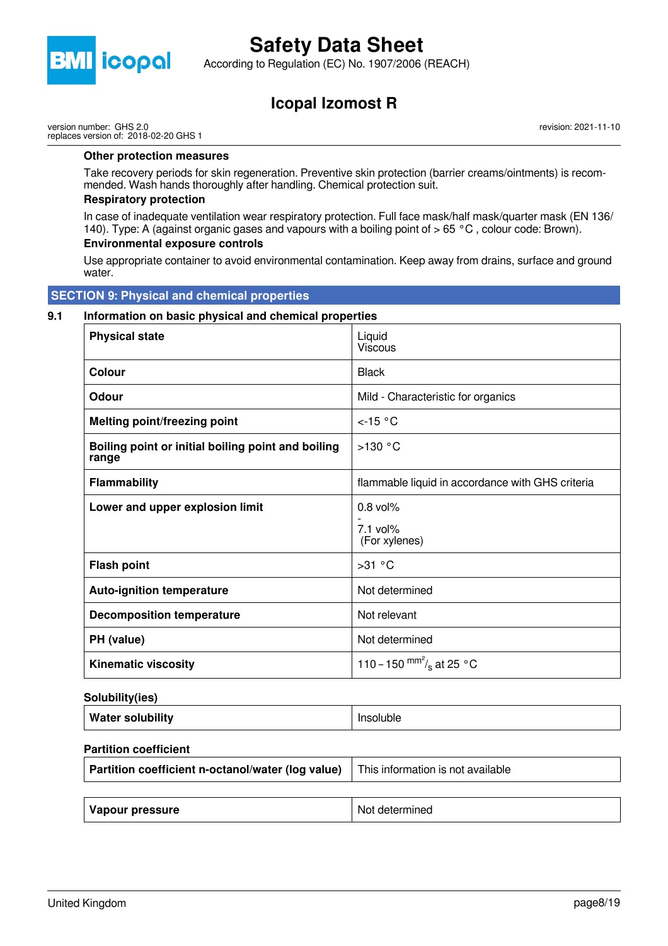

According to Regulation (EC) No. 1907/2006 (REACH)

## **Icopal Izomost R**

version number: GHS 2.0 replaces version of: 2018-02-20 GHS 1

**Other protection measures**

Take recovery periods for skin regeneration. Preventive skin protection (barrier creams/ointments) is recommended. Wash hands thoroughly after handling. Chemical protection suit.

#### **Respiratory protection**

In case of inadequate ventilation wear respiratory protection. Full face mask/half mask/quarter mask (EN 136/ 140). Type: A (against organic gases and vapours with a boiling point of > 65 °C , colour code: Brown).

#### **Environmental exposure controls**

Use appropriate container to avoid environmental contamination. Keep away from drains, surface and ground water.

 **SECTION 9: Physical and chemical properties**

#### **9.1 Information on basic physical and chemical properties**

| <b>Physical state</b>                                       | Liquid<br>Viscous                                |
|-------------------------------------------------------------|--------------------------------------------------|
| <b>Colour</b>                                               | <b>Black</b>                                     |
| Odour                                                       | Mild - Characteristic for organics               |
| <b>Melting point/freezing point</b>                         | $<$ -15 °C                                       |
| Boiling point or initial boiling point and boiling<br>range | $>130$ °C                                        |
| <b>Flammability</b>                                         | flammable liquid in accordance with GHS criteria |
| Lower and upper explosion limit                             | $0.8$ vol%<br>$7.1$ vol%<br>(For xylenes)        |
| <b>Flash point</b>                                          | >31 °C                                           |
| <b>Auto-ignition temperature</b>                            | Not determined                                   |
| <b>Decomposition temperature</b>                            | Not relevant                                     |
| PH (value)                                                  | Not determined                                   |
| <b>Kinematic viscosity</b>                                  | 110 – 150 $\text{mm}^2\text{/s}$ at 25 °C        |

#### **Solubility(ies)**

| Water solubility | Insoluble |
|------------------|-----------|
|------------------|-----------|

#### **Partition coefficient**

| Partition coefficient n-octanol/water (log value) | This information is not available |  |  |
|---------------------------------------------------|-----------------------------------|--|--|
|                                                   |                                   |  |  |
| Vapour pressure                                   | Not determined                    |  |  |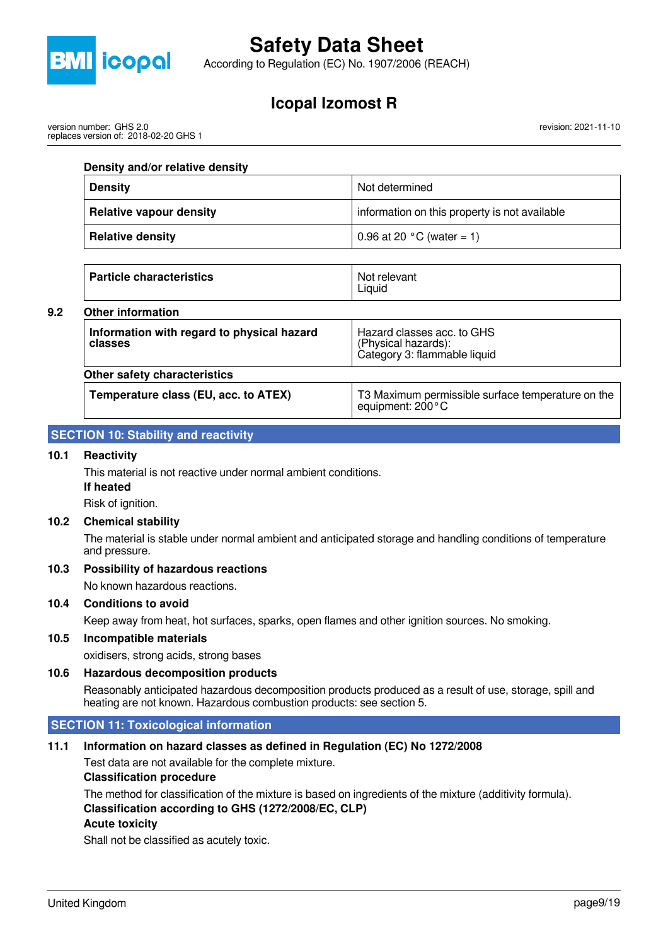

According to Regulation (EC) No. 1907/2006 (REACH)

## **Icopal Izomost R**

version number: GHS 2.0 replaces version of: 2018-02-20 GHS 1 revision: 2021-11-10

#### **Density and/or relative density**

| <b>Density</b>                 | Not determined                                |  |
|--------------------------------|-----------------------------------------------|--|
| <b>Relative vapour density</b> | information on this property is not available |  |
| <b>Relative density</b>        | 0.96 at 20 $^{\circ}$ C (water = 1)           |  |

Liquid

**Particle characteristics** Not relevant

## **9.2 Other information**

| <b>Other information</b>                              |                                                                                   |
|-------------------------------------------------------|-----------------------------------------------------------------------------------|
| Information with regard to physical hazard<br>classes | Hazard classes acc. to GHS<br>(Physical hazards):<br>Category 3: flammable liquid |
| Other safety characteristics                          |                                                                                   |
| Temperature class (EU, acc. to ATEX)                  | T3 Maximum permissible surface temperature on the<br>equipment: $200^{\circ}$ C   |

### **SECTION 10: Stability and reactivity**

#### **10.1 Reactivity**

This material is not reactive under normal ambient conditions.

**If heated**

Risk of ignition.

#### **10.2 Chemical stability**

The material is stable under normal ambient and anticipated storage and handling conditions of temperature and pressure.

#### **10.3 Possibility of hazardous reactions**

No known hazardous reactions.

#### **10.4 Conditions to avoid**

Keep away from heat, hot surfaces, sparks, open flames and other ignition sources. No smoking.

#### **10.5 Incompatible materials**

oxidisers, strong acids, strong bases

#### **10.6 Hazardous decomposition products**

Reasonably anticipated hazardous decomposition products produced as a result of use, storage, spill and heating are not known. Hazardous combustion products: see section 5.

#### **SECTION 11: Toxicological information**

#### **11.1 Information on hazard classes as defined in Regulation (EC) No 1272/2008**

Test data are not available for the complete mixture.

#### **Classification procedure**

The method for classification of the mixture is based on ingredients of the mixture (additivity formula). **Classification according to GHS (1272/2008/EC, CLP) Acute toxicity**

Shall not be classified as acutely toxic.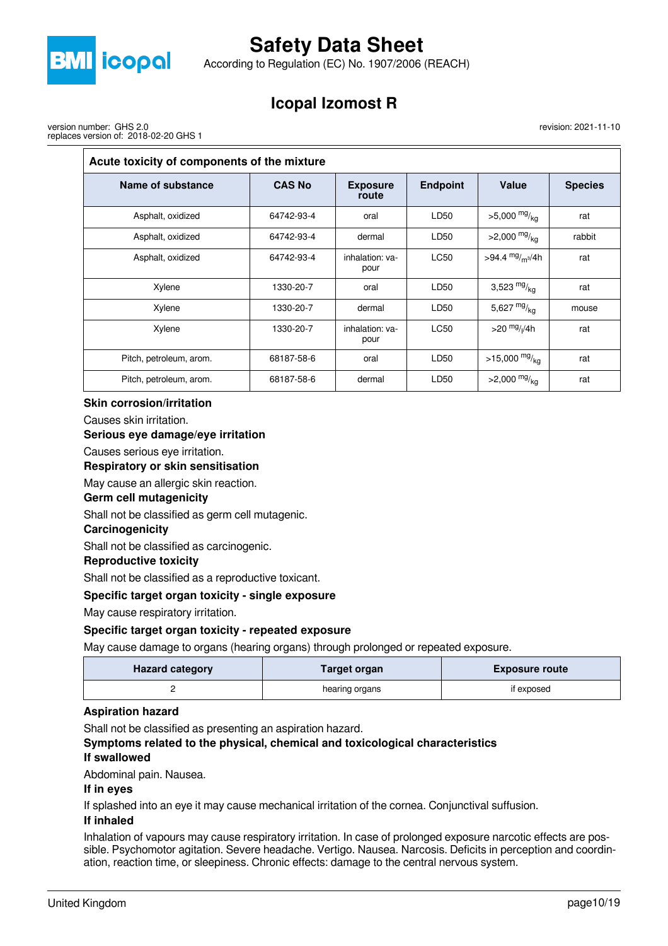

According to Regulation (EC) No. 1907/2006 (REACH)

# **Icopal Izomost R**

version number: GHS 2.0 replaces version of: 2018-02-20 GHS 1 revision: 2021-11-10

| Acute toxicity of components of the mixture |               |                          |                 |                             |                |  |  |
|---------------------------------------------|---------------|--------------------------|-----------------|-----------------------------|----------------|--|--|
| Name of substance                           | <b>CAS No</b> | <b>Exposure</b><br>route | <b>Endpoint</b> | <b>Value</b>                | <b>Species</b> |  |  |
| Asphalt, oxidized                           | 64742-93-4    | oral                     | LD50            | $>5,000$ mg/ <sub>kg</sub>  | rat            |  |  |
| Asphalt, oxidized                           | 64742-93-4    | dermal                   | LD50            | $>2,000$ mg/ <sub>kg</sub>  | rabbit         |  |  |
| Asphalt, oxidized                           | 64742-93-4    | inhalation: ya-<br>pour  | <b>LC50</b>     | >94.4 $mg/m^{3}/4h$         | rat            |  |  |
| Xylene                                      | 1330-20-7     | oral                     | LD50            | 3,523 $mg/kq$               | rat            |  |  |
| Xylene                                      | 1330-20-7     | dermal                   | LD50            | 5,627 $mg/kq$               | mouse          |  |  |
| Xylene                                      | 1330-20-7     | inhalation: ya-<br>pour  | <b>LC50</b>     | $>$ 20 $\frac{mg}{l}$ //4h  | rat            |  |  |
| Pitch, petroleum, arom.                     | 68187-58-6    | oral                     | LD50            | $>15,000$ mg/ <sub>kg</sub> | rat            |  |  |
| Pitch, petroleum, arom.                     | 68187-58-6    | dermal                   | LD50            | $>2,000$ mg/ <sub>kg</sub>  | rat            |  |  |

#### **Skin corrosion/irritation**

Causes skin irritation.

#### **Serious eye damage/eye irritation**

Causes serious eye irritation.

#### **Respiratory or skin sensitisation**

May cause an allergic skin reaction.

#### **Germ cell mutagenicity**

Shall not be classified as germ cell mutagenic.

#### **Carcinogenicity**

Shall not be classified as carcinogenic.

#### **Reproductive toxicity**

Shall not be classified as a reproductive toxicant.

#### **Specific target organ toxicity - single exposure**

May cause respiratory irritation.

#### **Specific target organ toxicity - repeated exposure**

May cause damage to organs (hearing organs) through prolonged or repeated exposure.

| <b>Hazard category</b> | Target organ   | <b>Exposure route</b> |
|------------------------|----------------|-----------------------|
|                        | hearing organs | if exposed            |

#### **Aspiration hazard**

Shall not be classified as presenting an aspiration hazard.

## **Symptoms related to the physical, chemical and toxicological characteristics**

## **If swallowed**

Abdominal pain. Nausea.

#### **If in eyes**

If splashed into an eye it may cause mechanical irritation of the cornea. Conjunctival suffusion.

#### **If inhaled**

Inhalation of vapours may cause respiratory irritation. In case of prolonged exposure narcotic effects are possible. Psychomotor agitation. Severe headache. Vertigo. Nausea. Narcosis. Deficits in perception and coordination, reaction time, or sleepiness. Chronic effects: damage to the central nervous system.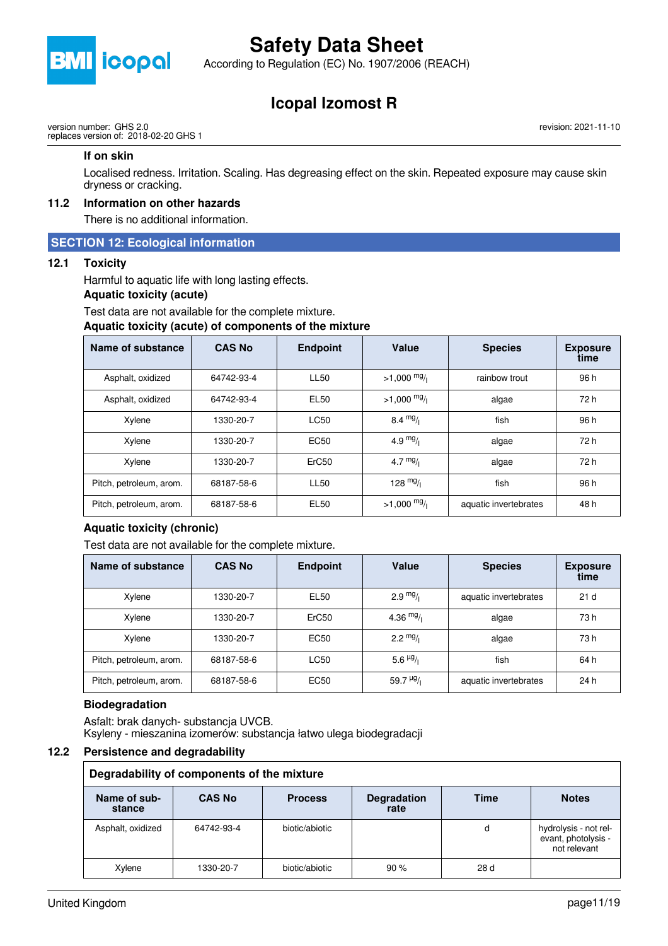

According to Regulation (EC) No. 1907/2006 (REACH)

## **Icopal Izomost R**

version number: GHS 2.0 replaces version of: 2018-02-20 GHS 1 revision: 2021-11-10

#### **If on skin**

Localised redness. Irritation. Scaling. Has degreasing effect on the skin. Repeated exposure may cause skin dryness or cracking.

### **11.2 Information on other hazards**

There is no additional information.

#### **SECTION 12: Ecological information**

#### **12.1 Toxicity**

Harmful to aquatic life with long lasting effects.

#### **Aquatic toxicity (acute)**

Test data are not available for the complete mixture.

#### **Aquatic toxicity (acute) of components of the mixture**

| Name of substance       | <b>CAS No</b> | <b>Endpoint</b>   | Value              | <b>Species</b>        | <b>Exposure</b><br>time |
|-------------------------|---------------|-------------------|--------------------|-----------------------|-------------------------|
| Asphalt, oxidized       | 64742-93-4    | <b>LL50</b>       | $>1,000$ mg/       | rainbow trout         | 96 h                    |
| Asphalt, oxidized       | 64742-93-4    | EL50              | $>1,000$ mg/       | algae                 | 72 h                    |
| Xylene                  | 1330-20-7     | LC50              | $8.4 \frac{mg}{l}$ | fish                  | 96 h                    |
| Xylene                  | 1330-20-7     | EC50              | 4.9 $mg/1$         | algae                 | 72 h                    |
| Xylene                  | 1330-20-7     | ErC <sub>50</sub> | 4.7 $mg/1$         | algae                 | 72 h                    |
| Pitch, petroleum, arom. | 68187-58-6    | <b>LL50</b>       | 128 $mg/1$         | fish                  | 96 h                    |
| Pitch, petroleum, arom. | 68187-58-6    | EL <sub>50</sub>  | $>1,000$ mg/       | aquatic invertebrates | 48 h                    |

#### **Aquatic toxicity (chronic)**

Test data are not available for the complete mixture.

| Name of substance       | <b>CAS No</b> | <b>Endpoint</b> | Value                  | <b>Species</b>        | <b>Exposure</b><br>time |
|-------------------------|---------------|-----------------|------------------------|-----------------------|-------------------------|
| Xylene                  | 1330-20-7     | <b>EL50</b>     | $2.9 \frac{mg}{l}$     | aquatic invertebrates | 21 <sub>d</sub>         |
| Xylene                  | 1330-20-7     | ErC50           | 4.36 $mg/$             | algae                 | 73 h                    |
| Xylene                  | 1330-20-7     | <b>EC50</b>     | $2.2 \frac{mg}{l}$     | algae                 | 73 h                    |
| Pitch, petroleum, arom. | 68187-58-6    | <b>LC50</b>     | 5.6 $\frac{\mu g}{I}$  | fish                  | 64 h                    |
| Pitch, petroleum, arom. | 68187-58-6    | <b>EC50</b>     | 59.7 $\frac{\mu g}{I}$ | aquatic invertebrates | 24 h                    |

#### **Biodegradation**

Asfalt: brak danych- substancja UVCB. Ksyleny - mieszanina izomerów: substancja łatwo ulega biodegradacji

#### **12.2 Persistence and degradability**

| Degradability of components of the mixture |               |                |                            |      |                                                              |  |  |
|--------------------------------------------|---------------|----------------|----------------------------|------|--------------------------------------------------------------|--|--|
| Name of sub-<br>stance                     | <b>CAS No</b> | <b>Process</b> | <b>Degradation</b><br>rate | Time | <b>Notes</b>                                                 |  |  |
| Asphalt, oxidized                          | 64742-93-4    | biotic/abiotic |                            | d    | hydrolysis - not rel-<br>evant, photolysis -<br>not relevant |  |  |
| Xylene                                     | 1330-20-7     | biotic/abiotic | 90%                        | 28d  |                                                              |  |  |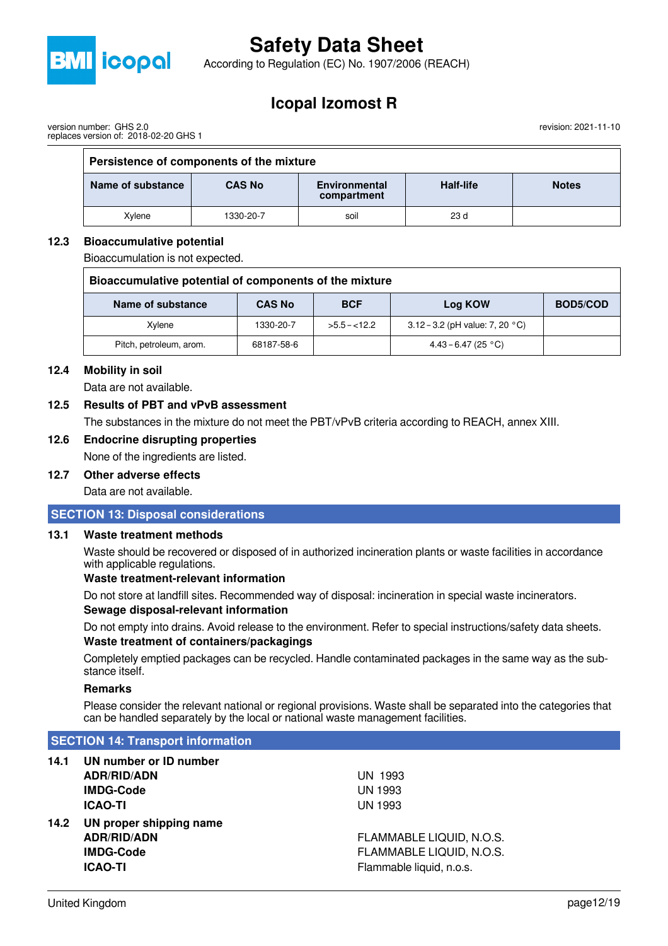

According to Regulation (EC) No. 1907/2006 (REACH)

## **Icopal Izomost R**

revision: 2021-11-10

| version number: GHS 2.0 |                                       |  |
|-------------------------|---------------------------------------|--|
|                         | replaces version of: 2018-02-20 GHS 1 |  |

| Persistence of components of the mixture                                                               |           |      |                 |  |  |  |  |
|--------------------------------------------------------------------------------------------------------|-----------|------|-----------------|--|--|--|--|
| Half-life<br>Name of substance<br><b>CAS No</b><br><b>Environmental</b><br><b>Notes</b><br>compartment |           |      |                 |  |  |  |  |
| Xvlene                                                                                                 | 1330-20-7 | soil | 23 <sub>d</sub> |  |  |  |  |

#### **12.3 Bioaccumulative potential**

Bioaccumulation is not expected.

| Bioaccumulative potential of components of the mixture                  |            |               |                                           |  |  |  |
|-------------------------------------------------------------------------|------------|---------------|-------------------------------------------|--|--|--|
| <b>BCF</b><br>BOD5/COD<br>Name of substance<br><b>CAS No</b><br>Log KOW |            |               |                                           |  |  |  |
| Xvlene                                                                  | 1330-20-7  | $>5.5 - 12.2$ | 3.12 – 3.2 (pH value: 7, 20 $^{\circ}$ C) |  |  |  |
| Pitch, petroleum, arom.                                                 | 68187-58-6 |               | 4.43 – 6.47 (25 °C)                       |  |  |  |

#### **12.4 Mobility in soil**

Data are not available.

#### **12.5 Results of PBT and vPvB assessment**

The substances in the mixture do not meet the PBT/vPvB criteria according to REACH, annex XIII.

### **12.6 Endocrine disrupting properties**

None of the ingredients are listed.

### **12.7 Other adverse effects**

Data are not available.

#### **SECTION 13: Disposal considerations**

#### **13.1 Waste treatment methods**

Waste should be recovered or disposed of in authorized incineration plants or waste facilities in accordance with applicable regulations.

#### **Waste treatment-relevant information**

Do not store at landfill sites. Recommended way of disposal: incineration in special waste incinerators.

### **Sewage disposal-relevant information**

Do not empty into drains. Avoid release to the environment. Refer to special instructions/safety data sheets. **Waste treatment of containers/packagings**

Completely emptied packages can be recycled. Handle contaminated packages in the same way as the substance itself.

#### **Remarks**

Please consider the relevant national or regional provisions. Waste shall be separated into the categories that can be handled separately by the local or national waste management facilities.

#### **SECTION 14: Transport information**

- **14.1 UN number or ID number ADR/RID/ADN** UN 1993 **IMDG-Code** UN 1993 **ICAO-TI** UN 1993
- **14.2 UN proper shipping name ICAO-TI** Flammable liquid, n.o.s.

**ADR/RID/ADN** FLAMMABLE LIQUID, N.O.S. **IMDG-Code** FLAMMABLE LIQUID, N.O.S.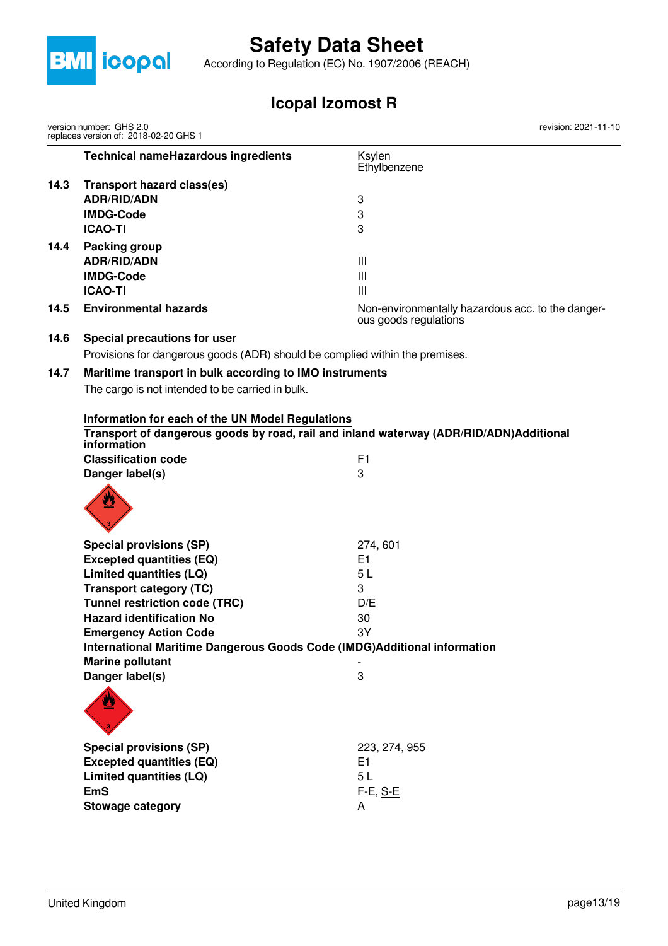

According to Regulation (EC) No. 1907/2006 (REACH)

# **Icopal Izomost R**

|      | version number: GHS 2.0<br>replaces version of: 2018-02-20 GHS 1             | revision: 2021-11-10                                                                   |
|------|------------------------------------------------------------------------------|----------------------------------------------------------------------------------------|
|      | <b>Technical nameHazardous ingredients</b>                                   | Ksylen<br>Ethylbenzene                                                                 |
| 14.3 | <b>Transport hazard class(es)</b>                                            |                                                                                        |
|      | <b>ADR/RID/ADN</b>                                                           | 3                                                                                      |
|      | <b>IMDG-Code</b>                                                             | 3                                                                                      |
|      | <b>ICAO-TI</b>                                                               | 3                                                                                      |
| 14.4 | <b>Packing group</b>                                                         |                                                                                        |
|      | <b>ADR/RID/ADN</b>                                                           | $\mathbf{III}$                                                                         |
|      | <b>IMDG-Code</b>                                                             | $\mathbf{III}$                                                                         |
|      | <b>ICAO-TI</b>                                                               | $\mathbf{III}$                                                                         |
| 14.5 | <b>Environmental hazards</b>                                                 | Non-environmentally hazardous acc. to the danger-<br>ous goods regulations             |
| 14.6 | Special precautions for user                                                 |                                                                                        |
|      | Provisions for dangerous goods (ADR) should be complied within the premises. |                                                                                        |
| 14.7 | Maritime transport in bulk according to IMO instruments                      |                                                                                        |
|      | The cargo is not intended to be carried in bulk.                             |                                                                                        |
|      |                                                                              |                                                                                        |
|      | Information for each of the UN Model Regulations                             |                                                                                        |
|      | information                                                                  | Transport of dangerous goods by road, rail and inland waterway (ADR/RID/ADN)Additional |
|      | <b>Classification code</b>                                                   | F <sub>1</sub>                                                                         |
|      | Danger label(s)                                                              | 3                                                                                      |
|      | W                                                                            |                                                                                        |
|      | <b>Special provisions (SP)</b>                                               | 274,601                                                                                |
|      | <b>Excepted quantities (EQ)</b>                                              | E <sub>1</sub>                                                                         |
|      | Limited quantities (LQ)                                                      | 5L                                                                                     |
|      | <b>Transport category (TC)</b>                                               | 3                                                                                      |
|      | <b>Tunnel restriction code (TRC)</b>                                         | D/E                                                                                    |
|      | <b>Hazard identification No</b>                                              | 30                                                                                     |
|      | <b>Emergency Action Code</b>                                                 | 3Y                                                                                     |
|      | International Maritime Dangerous Goods Code (IMDG)Additional information     |                                                                                        |
|      | <b>Marine pollutant</b>                                                      |                                                                                        |
|      | Danger label(s)                                                              | $\boldsymbol{3}$                                                                       |
|      |                                                                              |                                                                                        |
|      | <b>Special provisions (SP)</b>                                               | 223, 274, 955                                                                          |
|      | <b>Excepted quantities (EQ)</b>                                              | E1                                                                                     |
|      | Limited quantities (LQ)                                                      | 5L                                                                                     |
|      | <b>EmS</b>                                                                   | F-E, S-E                                                                               |
|      | <b>Stowage category</b>                                                      | A                                                                                      |
|      |                                                                              |                                                                                        |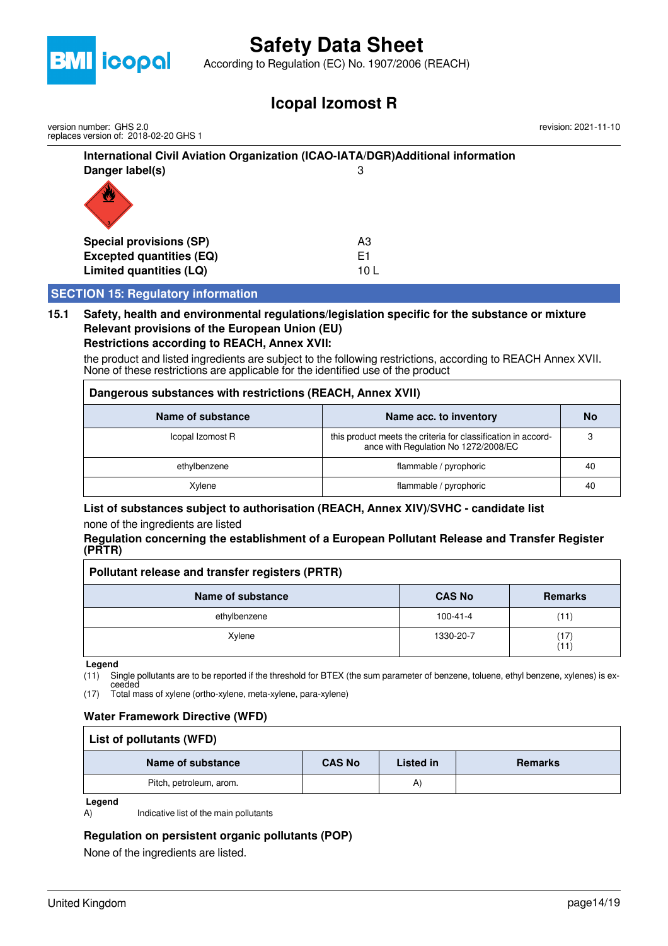

According to Regulation (EC) No. 1907/2006 (REACH)

## **Icopal Izomost R**

**International Civil Aviation Organization (ICAO-IATA/DGR)Additional information Danger label(s)** 3 **Special provisions (SP)** A3 **Excepted quantities (EQ)** E1 **Limited quantities (LQ)** 10 L  **SECTION 15: Regulatory information** version number: GHS 2.0 replaces version of: 2018-02-20 GHS 1 revision: 2021-11-10

#### **15.1 Safety, health and environmental regulations/legislation specific for the substance or mixture Relevant provisions of the European Union (EU) Restrictions according to REACH, Annex XVII:**

the product and listed ingredients are subject to the following restrictions, according to REACH Annex XVII. None of these restrictions are applicable for the identified use of the product

| Dangerous substances with restrictions (REACH, Annex XVII) |                                                                                                       |    |  |  |
|------------------------------------------------------------|-------------------------------------------------------------------------------------------------------|----|--|--|
| Name of substance<br>Name acc. to inventory                |                                                                                                       |    |  |  |
| Icopal Izomost R                                           | this product meets the criteria for classification in accord-<br>ance with Regulation No 1272/2008/EC | 3  |  |  |
| ethylbenzene                                               | flammable / pyrophoric                                                                                | 40 |  |  |
| Xvlene                                                     | flammable / pyrophoric                                                                                | 40 |  |  |

## **List of substances subject to authorisation (REACH, Annex XIV)/SVHC - candidate list**

none of the ingredients are listed

#### **Regulation concerning the establishment of a European Pollutant Release and Transfer Register (PRTR)**

| Pollutant release and transfer registers (PRTR) |               |                |
|-------------------------------------------------|---------------|----------------|
| Name of substance                               | <b>CAS No</b> | <b>Remarks</b> |
| ethylbenzene                                    | 100-41-4      | (11)           |
| Xylene                                          | 1330-20-7     | (17)<br>(11)   |

**Legend**

(11) Single pollutants are to be reported if the threshold for BTEX (the sum parameter of benzene, toluene, ethyl benzene, xylenes) is ex-

ceeded (17) Total mass of xylene (ortho-xylene, meta-xylene, para-xylene)

### **Water Framework Directive (WFD)**

| List of pollutants (WFD) |               |           |                |
|--------------------------|---------------|-----------|----------------|
| Name of substance        | <b>CAS No</b> | Listed in | <b>Remarks</b> |
| Pitch, petroleum, arom.  |               | A)        |                |

**Legend**

A) Indicative list of the main pollutants

### **Regulation on persistent organic pollutants (POP)**

None of the ingredients are listed.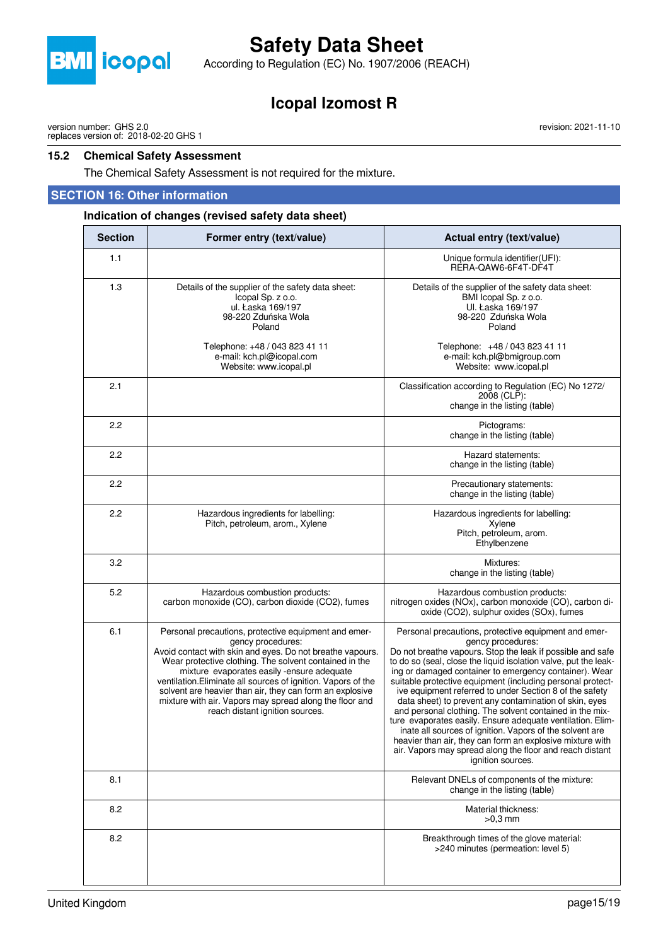

According to Regulation (EC) No. 1907/2006 (REACH)

## **Icopal Izomost R**

version number: GHS 2.0 replaces version of: 2018-02-20 GHS 1

#### **15.2 Chemical Safety Assessment**

The Chemical Safety Assessment is not required for the mixture.

#### **SECTION 16: Other information**

#### **Indication of changes (revised safety data sheet)**

| <b>Section</b> | Former entry (text/value)                                                                                                                                                                                                                                                                                                                                                                                                                                                 | Actual entry (text/value)                                                                                                                                                                                                                                                                                                                                                                                                                                                                                                                                                                                                                                                                                                                                                                   |
|----------------|---------------------------------------------------------------------------------------------------------------------------------------------------------------------------------------------------------------------------------------------------------------------------------------------------------------------------------------------------------------------------------------------------------------------------------------------------------------------------|---------------------------------------------------------------------------------------------------------------------------------------------------------------------------------------------------------------------------------------------------------------------------------------------------------------------------------------------------------------------------------------------------------------------------------------------------------------------------------------------------------------------------------------------------------------------------------------------------------------------------------------------------------------------------------------------------------------------------------------------------------------------------------------------|
| 1.1            |                                                                                                                                                                                                                                                                                                                                                                                                                                                                           | Unique formula identifier(UFI):<br>RERA-QAW6-6F4T-DF4T                                                                                                                                                                                                                                                                                                                                                                                                                                                                                                                                                                                                                                                                                                                                      |
| 1.3            | Details of the supplier of the safety data sheet:<br>Icopal Sp. z o.o.<br>ul. Łaska 169/197<br>98-220 Zduńska Wola<br>Poland                                                                                                                                                                                                                                                                                                                                              | Details of the supplier of the safety data sheet:<br>BMI Icopal Sp. z o.o.<br>Ul. Łaska 169/197<br>98-220 Zduńska Wola<br>Poland                                                                                                                                                                                                                                                                                                                                                                                                                                                                                                                                                                                                                                                            |
|                | Telephone: +48 / 043 823 41 11<br>e-mail: kch.pl@icopal.com<br>Website: www.icopal.pl                                                                                                                                                                                                                                                                                                                                                                                     | Telephone: +48 / 043 823 41 11<br>e-mail: kch.pl@bmigroup.com<br>Website: www.icopal.pl                                                                                                                                                                                                                                                                                                                                                                                                                                                                                                                                                                                                                                                                                                     |
| 2.1            |                                                                                                                                                                                                                                                                                                                                                                                                                                                                           | Classification according to Regulation (EC) No 1272/<br>2008 (CLP):<br>change in the listing (table)                                                                                                                                                                                                                                                                                                                                                                                                                                                                                                                                                                                                                                                                                        |
| 2.2            |                                                                                                                                                                                                                                                                                                                                                                                                                                                                           | Pictograms:<br>change in the listing (table)                                                                                                                                                                                                                                                                                                                                                                                                                                                                                                                                                                                                                                                                                                                                                |
| 2.2            |                                                                                                                                                                                                                                                                                                                                                                                                                                                                           | Hazard statements:<br>change in the listing (table)                                                                                                                                                                                                                                                                                                                                                                                                                                                                                                                                                                                                                                                                                                                                         |
| 2.2            |                                                                                                                                                                                                                                                                                                                                                                                                                                                                           | Precautionary statements:<br>change in the listing (table)                                                                                                                                                                                                                                                                                                                                                                                                                                                                                                                                                                                                                                                                                                                                  |
| 2.2            | Hazardous ingredients for labelling:<br>Pitch, petroleum, arom., Xylene                                                                                                                                                                                                                                                                                                                                                                                                   | Hazardous ingredients for labelling:<br>Xvlene<br>Pitch, petroleum, arom.<br>Ethylbenzene                                                                                                                                                                                                                                                                                                                                                                                                                                                                                                                                                                                                                                                                                                   |
| 3.2            |                                                                                                                                                                                                                                                                                                                                                                                                                                                                           | Mixtures:<br>change in the listing (table)                                                                                                                                                                                                                                                                                                                                                                                                                                                                                                                                                                                                                                                                                                                                                  |
| 5.2            | Hazardous combustion products:<br>carbon monoxide (CO), carbon dioxide (CO2), fumes                                                                                                                                                                                                                                                                                                                                                                                       | Hazardous combustion products:<br>nitrogen oxides (NOx), carbon monoxide (CO), carbon di-<br>oxide (CO2), sulphur oxides (SOx), fumes                                                                                                                                                                                                                                                                                                                                                                                                                                                                                                                                                                                                                                                       |
| 6.1            | Personal precautions, protective equipment and emer-<br>gency procedures:<br>Avoid contact with skin and eyes. Do not breathe vapours.<br>Wear protective clothing. The solvent contained in the<br>mixture evaporates easily -ensure adequate<br>ventilation. Eliminate all sources of ignition. Vapors of the<br>solvent are heavier than air, they can form an explosive<br>mixture with air. Vapors may spread along the floor and<br>reach distant ignition sources. | Personal precautions, protective equipment and emer-<br>gency procedures:<br>Do not breathe vapours. Stop the leak if possible and safe<br>to do so (seal, close the liquid isolation valve, put the leak-<br>ing or damaged container to emergency container). Wear<br>suitable protective equipment (including personal protect-<br>ive equipment referred to under Section 8 of the safety<br>data sheet) to prevent any contamination of skin, eyes<br>and personal clothing. The solvent contained in the mix-<br>ture evaporates easily. Ensure adequate ventilation. Elim-<br>inate all sources of ignition. Vapors of the solvent are<br>heavier than air, they can form an explosive mixture with<br>air. Vapors may spread along the floor and reach distant<br>ignition sources. |
| 8.1            |                                                                                                                                                                                                                                                                                                                                                                                                                                                                           | Relevant DNELs of components of the mixture:<br>change in the listing (table)                                                                                                                                                                                                                                                                                                                                                                                                                                                                                                                                                                                                                                                                                                               |
| 8.2            |                                                                                                                                                                                                                                                                                                                                                                                                                                                                           | Material thickness:<br>$>0.3$ mm                                                                                                                                                                                                                                                                                                                                                                                                                                                                                                                                                                                                                                                                                                                                                            |
| 8.2            |                                                                                                                                                                                                                                                                                                                                                                                                                                                                           | Breakthrough times of the glove material:<br>>240 minutes (permeation: level 5)                                                                                                                                                                                                                                                                                                                                                                                                                                                                                                                                                                                                                                                                                                             |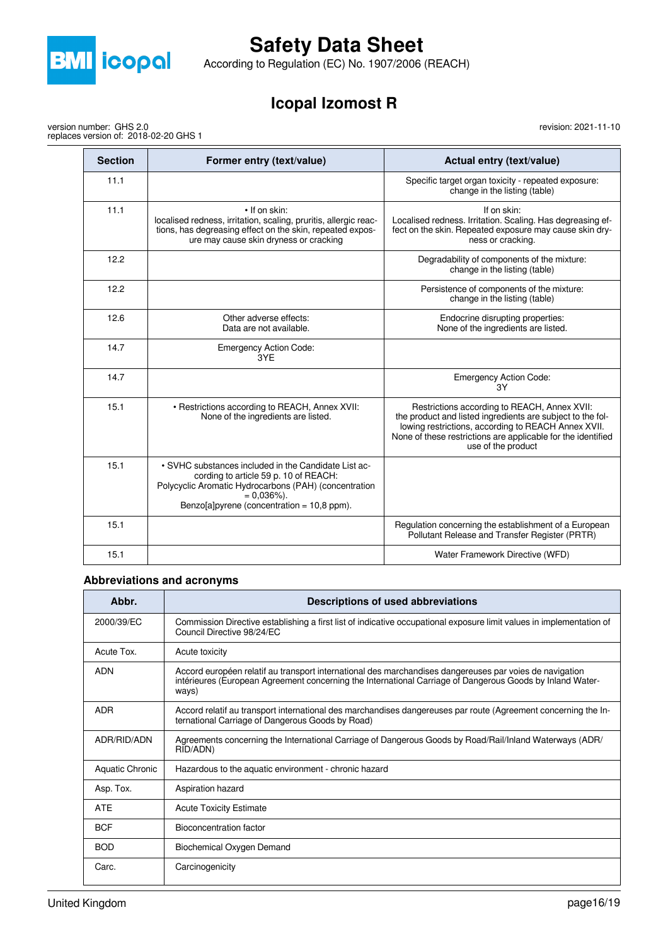

version number: GHS 2.0

replaces version of: 2018-02-20 GHS 1

# **Safety Data Sheet**

According to Regulation (EC) No. 1907/2006 (REACH)

## **Icopal Izomost R**

revision: 2021-11-10

| <b>Section</b> | Former entry (text/value)                                                                                                                                                                                                | Actual entry (text/value)                                                                                                                                                                                                                               |
|----------------|--------------------------------------------------------------------------------------------------------------------------------------------------------------------------------------------------------------------------|---------------------------------------------------------------------------------------------------------------------------------------------------------------------------------------------------------------------------------------------------------|
| 11.1           |                                                                                                                                                                                                                          | Specific target organ toxicity - repeated exposure:<br>change in the listing (table)                                                                                                                                                                    |
| 11.1           | • If on skin:<br>localised redness, irritation, scaling, pruritis, allergic reac-<br>tions, has degreasing effect on the skin, repeated expos-<br>ure may cause skin dryness or cracking                                 | If on skin:<br>Localised redness. Irritation. Scaling. Has degreasing ef-<br>fect on the skin. Repeated exposure may cause skin dry-<br>ness or cracking.                                                                                               |
| 12.2           |                                                                                                                                                                                                                          | Degradability of components of the mixture:<br>change in the listing (table)                                                                                                                                                                            |
| 12.2           |                                                                                                                                                                                                                          | Persistence of components of the mixture:<br>change in the listing (table)                                                                                                                                                                              |
| 12.6           | Other adverse effects:<br>Data are not available.                                                                                                                                                                        | Endocrine disrupting properties:<br>None of the ingredients are listed.                                                                                                                                                                                 |
| 14.7           | <b>Emergency Action Code:</b><br>3YF                                                                                                                                                                                     |                                                                                                                                                                                                                                                         |
| 14.7           |                                                                                                                                                                                                                          | <b>Emergency Action Code:</b><br>3Y                                                                                                                                                                                                                     |
| 15.1           | • Restrictions according to REACH, Annex XVII:<br>None of the ingredients are listed.                                                                                                                                    | Restrictions according to REACH, Annex XVII:<br>the product and listed ingredients are subject to the fol-<br>lowing restrictions, according to REACH Annex XVII.<br>None of these restrictions are applicable for the identified<br>use of the product |
| 15.1           | • SVHC substances included in the Candidate List ac-<br>cording to article 59 p. 10 of REACH:<br>Polycyclic Aromatic Hydrocarbons (PAH) (concentration<br>$= 0.036\%$ ).<br>Benzo[a]pyrene (concentration = $10,8$ ppm). |                                                                                                                                                                                                                                                         |
| 15.1           |                                                                                                                                                                                                                          | Regulation concerning the establishment of a European<br>Pollutant Release and Transfer Register (PRTR)                                                                                                                                                 |
| 15.1           |                                                                                                                                                                                                                          | Water Framework Directive (WFD)                                                                                                                                                                                                                         |

### **Abbreviations and acronyms**

| Abbr.           | Descriptions of used abbreviations                                                                                                                                                                                            |
|-----------------|-------------------------------------------------------------------------------------------------------------------------------------------------------------------------------------------------------------------------------|
| 2000/39/EC      | Commission Directive establishing a first list of indicative occupational exposure limit values in implementation of<br>Council Directive 98/24/EC                                                                            |
| Acute Tox.      | Acute toxicity                                                                                                                                                                                                                |
| <b>ADN</b>      | Accord européen relatif au transport international des marchandises dangereuses par voies de navigation<br>intérieures (European Agreement concerning the International Carriage of Dangerous Goods by Inland Water-<br>ways) |
| ADR             | Accord relatif au transport international des marchandises dangereuses par route (Agreement concerning the In-<br>ternational Carriage of Dangerous Goods by Road)                                                            |
| ADR/RID/ADN     | Agreements concerning the International Carriage of Dangerous Goods by Road/Rail/Inland Waterways (ADR/<br>RID/ADN)                                                                                                           |
| Aquatic Chronic | Hazardous to the aquatic environment - chronic hazard                                                                                                                                                                         |
| Asp. Tox.       | Aspiration hazard                                                                                                                                                                                                             |
| <b>ATE</b>      | <b>Acute Toxicity Estimate</b>                                                                                                                                                                                                |
| <b>BCF</b>      | Bioconcentration factor                                                                                                                                                                                                       |
| <b>BOD</b>      | Biochemical Oxygen Demand                                                                                                                                                                                                     |
| Carc.           | Carcinogenicity                                                                                                                                                                                                               |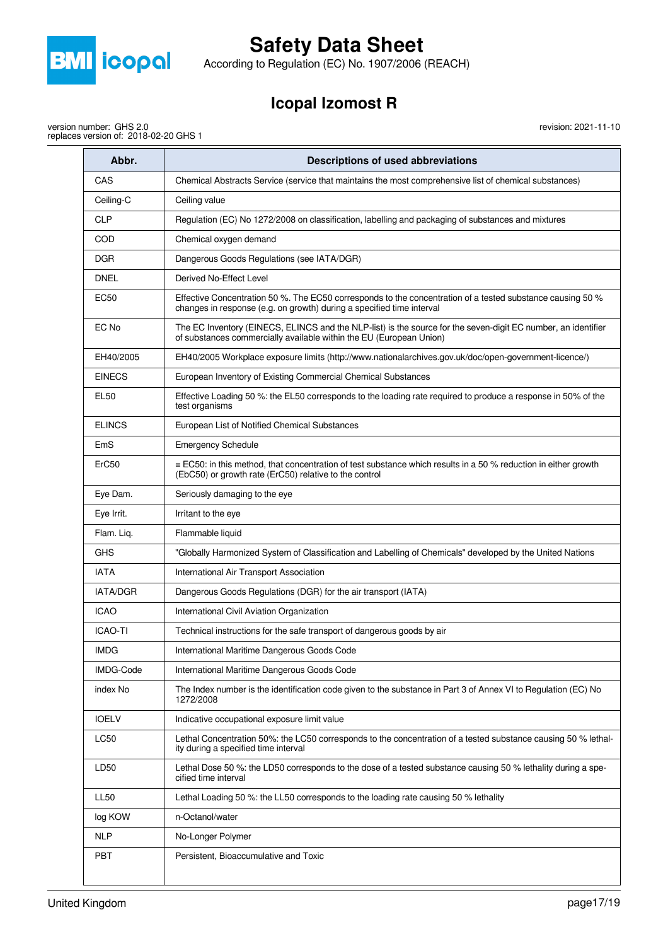

According to Regulation (EC) No. 1907/2006 (REACH)

# **Icopal Izomost R**

revision: 2021-11-10

version number: GHS 2.0 replaces version of: 2018-02-20 GHS 1

| Abbr.           | <b>Descriptions of used abbreviations</b>                                                                                                                                            |
|-----------------|--------------------------------------------------------------------------------------------------------------------------------------------------------------------------------------|
| CAS             | Chemical Abstracts Service (service that maintains the most comprehensive list of chemical substances)                                                                               |
| Ceiling-C       | Ceiling value                                                                                                                                                                        |
| <b>CLP</b>      | Regulation (EC) No 1272/2008 on classification, labelling and packaging of substances and mixtures                                                                                   |
| COD             | Chemical oxygen demand                                                                                                                                                               |
| DGR             | Dangerous Goods Regulations (see IATA/DGR)                                                                                                                                           |
| DNEL            | Derived No-Effect Level                                                                                                                                                              |
| <b>EC50</b>     | Effective Concentration 50 %. The EC50 corresponds to the concentration of a tested substance causing 50 %<br>changes in response (e.g. on growth) during a specified time interval  |
| EC No           | The EC Inventory (EINECS, ELINCS and the NLP-list) is the source for the seven-digit EC number, an identifier<br>of substances commercially available within the EU (European Union) |
| EH40/2005       | EH40/2005 Workplace exposure limits (http://www.nationalarchives.gov.uk/doc/open-government-licence/)                                                                                |
| <b>EINECS</b>   | European Inventory of Existing Commercial Chemical Substances                                                                                                                        |
| EL50            | Effective Loading 50 %: the EL50 corresponds to the loading rate required to produce a response in 50% of the<br>test organisms                                                      |
| <b>ELINCS</b>   | European List of Notified Chemical Substances                                                                                                                                        |
| EmS             | <b>Emergency Schedule</b>                                                                                                                                                            |
| ErC50           | ≡ EC50: in this method, that concentration of test substance which results in a 50 % reduction in either growth<br>(EbC50) or growth rate (ErC50) relative to the control            |
| Eye Dam.        | Seriously damaging to the eye                                                                                                                                                        |
| Eye Irrit.      | Irritant to the eye                                                                                                                                                                  |
| Flam. Liq.      | Flammable liquid                                                                                                                                                                     |
| GHS             | "Globally Harmonized System of Classification and Labelling of Chemicals" developed by the United Nations                                                                            |
| <b>IATA</b>     | International Air Transport Association                                                                                                                                              |
| <b>IATA/DGR</b> | Dangerous Goods Regulations (DGR) for the air transport (IATA)                                                                                                                       |
| <b>ICAO</b>     | International Civil Aviation Organization                                                                                                                                            |
| <b>ICAO-TI</b>  | Technical instructions for the safe transport of dangerous goods by air                                                                                                              |
| <b>IMDG</b>     | International Maritime Dangerous Goods Code                                                                                                                                          |
| IMDG-Code       | International Maritime Dangerous Goods Code                                                                                                                                          |
| index No        | The Index number is the identification code given to the substance in Part 3 of Annex VI to Regulation (EC) No<br>1272/2008                                                          |
| <b>IOELV</b>    | Indicative occupational exposure limit value                                                                                                                                         |
| <b>LC50</b>     | Lethal Concentration 50%: the LC50 corresponds to the concentration of a tested substance causing 50 % lethal-<br>ity during a specified time interval                               |
| LD50            | Lethal Dose 50 %: the LD50 corresponds to the dose of a tested substance causing 50 % lethality during a spe-<br>cified time interval                                                |
| <b>LL50</b>     | Lethal Loading 50 %: the LL50 corresponds to the loading rate causing 50 % lethality                                                                                                 |
| log KOW         | n-Octanol/water                                                                                                                                                                      |
| <b>NLP</b>      | No-Longer Polymer                                                                                                                                                                    |
| PBT             | Persistent, Bioaccumulative and Toxic                                                                                                                                                |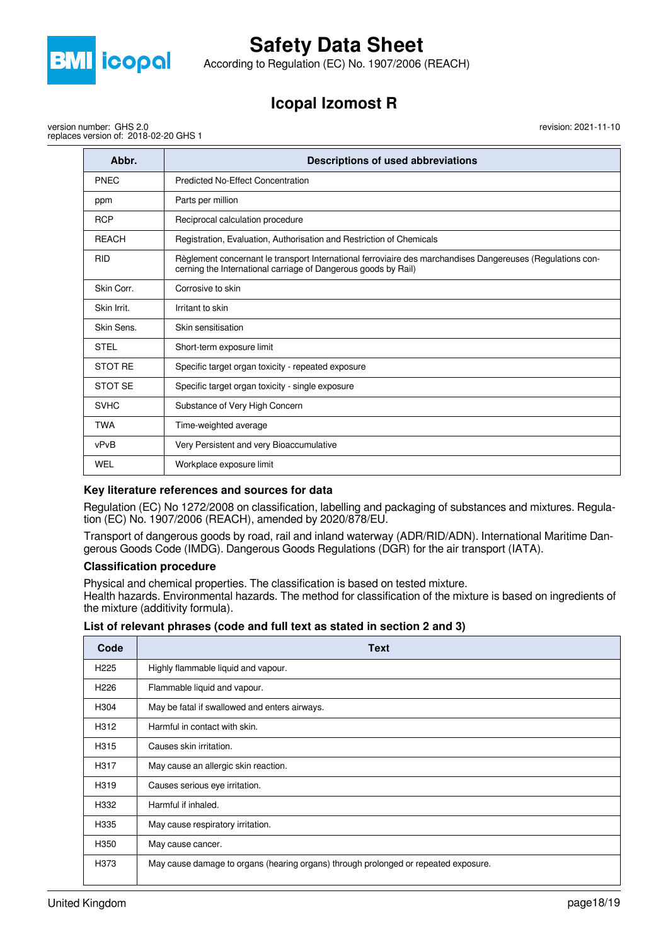

According to Regulation (EC) No. 1907/2006 (REACH)

# **Icopal Izomost R**

revision: 2021-11-10

version number: GHS 2.0 replaces version of: 2018-02-20 GHS 1

| Abbr.          | Descriptions of used abbreviations                                                                                                                                           |
|----------------|------------------------------------------------------------------------------------------------------------------------------------------------------------------------------|
| <b>PNEC</b>    | <b>Predicted No-Effect Concentration</b>                                                                                                                                     |
| ppm            | Parts per million                                                                                                                                                            |
| <b>RCP</b>     | Reciprocal calculation procedure                                                                                                                                             |
| <b>REACH</b>   | Registration, Evaluation, Authorisation and Restriction of Chemicals                                                                                                         |
| <b>RID</b>     | Règlement concernant le transport International ferroviaire des marchandises Dangereuses (Regulations con-<br>cerning the International carriage of Dangerous goods by Rail) |
| Skin Corr.     | Corrosive to skin                                                                                                                                                            |
| Skin Irrit.    | Irritant to skin                                                                                                                                                             |
| Skin Sens.     | Skin sensitisation                                                                                                                                                           |
| <b>STEL</b>    | Short-term exposure limit                                                                                                                                                    |
| <b>STOT RE</b> | Specific target organ toxicity - repeated exposure                                                                                                                           |
| STOT SE        | Specific target organ toxicity - single exposure                                                                                                                             |
| <b>SVHC</b>    | Substance of Very High Concern                                                                                                                                               |
| <b>TWA</b>     | Time-weighted average                                                                                                                                                        |
| vPvB           | Very Persistent and very Bioaccumulative                                                                                                                                     |
| WEL            | Workplace exposure limit                                                                                                                                                     |

### **Key literature references and sources for data**

Regulation (EC) No 1272/2008 on classification, labelling and packaging of substances and mixtures. Regulation (EC) No. 1907/2006 (REACH), amended by 2020/878/EU.

Transport of dangerous goods by road, rail and inland waterway (ADR/RID/ADN). International Maritime Dangerous Goods Code (IMDG). Dangerous Goods Regulations (DGR) for the air transport (IATA).

#### **Classification procedure**

Physical and chemical properties. The classification is based on tested mixture. Health hazards. Environmental hazards. The method for classification of the mixture is based on ingredients of the mixture (additivity formula).

|  |  | List of relevant phrases (code and full text as stated in section 2 and 3) |
|--|--|----------------------------------------------------------------------------|
|--|--|----------------------------------------------------------------------------|

| Code             | Text                                                                                |
|------------------|-------------------------------------------------------------------------------------|
| H <sub>225</sub> | Highly flammable liquid and vapour.                                                 |
| H <sub>226</sub> | Flammable liquid and vapour.                                                        |
| H304             | May be fatal if swallowed and enters airways.                                       |
| H312             | Harmful in contact with skin.                                                       |
| H315             | Causes skin irritation.                                                             |
| H317             | May cause an allergic skin reaction.                                                |
| H319             | Causes serious eye irritation.                                                      |
| H332             | Harmful if inhaled.                                                                 |
| H335             | May cause respiratory irritation.                                                   |
| H350             | May cause cancer.                                                                   |
| H373             | May cause damage to organs (hearing organs) through prolonged or repeated exposure. |